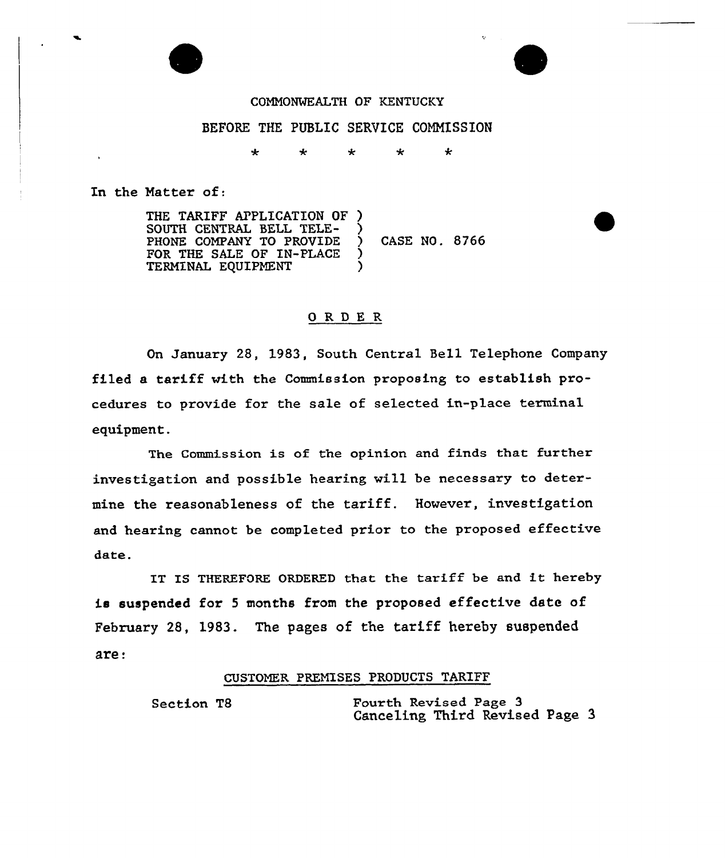



## COMMONWEALTH OF KENTUCKY

## BEFORE THE PUBLIC SERVICE COMMISSION

÷ ÷ ÷ يه  $\star$ 

In the Natter of:

THE TARIFF APPLICATION OF ) SOUTH CENTRAL BELL TELE-PHONE COMPANY TO PROVIDE ) CASE NO. 8766 FOR THE SALE OF IN-PLACE TERMINAL EQUIPMENT

## 0RDE <sup>R</sup>

On January 28, 1983, South Central Bell Telephone Company filed a tariff with the Commission proposing to establish procedures to provide for the sale of selected in-place terminal equipment.

The Commission is of the opinion and finds that further investigation and possible hearing will be necessary to determine the reasonableness of the tariff. However, investigation and hearing cannot be completed prior to the proposed effective date.

IT IS THEREFORE ORDERED that the tariff be and it hereby is suspended for <sup>5</sup> months from the proposed effective date of February 28, 1983. The pages of the tariff hereby suspended are:

## CUSTOMER PREMISES PRODUCTS TARIFF

Section T8 Fourth Revised Page 3 Canceling Third Revised Page 3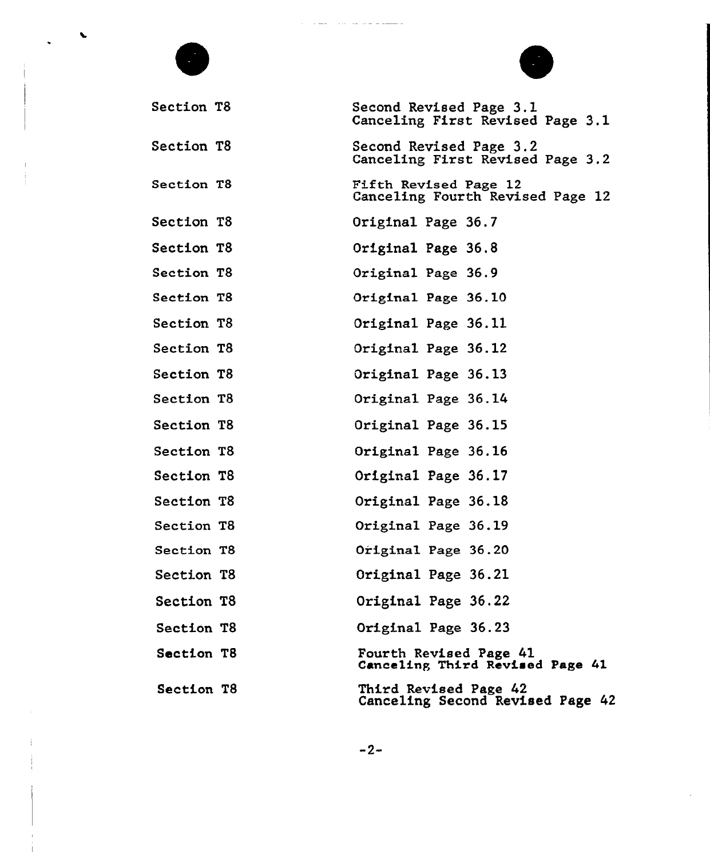| Section T8        | Second Revised Page 3.1<br>Canceling First Revised Page 3.1 |
|-------------------|-------------------------------------------------------------|
| <b>Section T8</b> | Second Revised Page 3.2<br>Canceling First Revised Page 3.2 |
| Section T8        | Fifth Revised Page 12<br>Canceling Fourth Revised Page 12   |
| Section T8        | Original Page 36.7                                          |
| Section T8        | Original Page 36.8                                          |
| Section T8        | Original Page 36.9                                          |
| Section T8        | Original Page 36.10                                         |
| Section T8        | Original Page 36.11                                         |
| Section T8        | Original Page 36.12                                         |
| Section T8        | Original Page 36.13                                         |
| Section T8        | Original Page 36.14                                         |
| Section T8        | Original Page 36.15                                         |
| Section T8        | Original Page 36.16                                         |
| Section T8        | Original Page 36.17                                         |
| Section T8        | Original Page 36.18                                         |
| Section T8        | Original Page 36.19                                         |
| Section T8        | Original Page 36.20                                         |
| Section T8        | Original Page 36.21                                         |
| Section T8        | Original Page 36.22                                         |
| Section T8        | Original Page 36.23                                         |
| Section T8        | Fourth Revised Page 41<br>Canceling Third Revised Page 41   |
| Section T8        | Third Revised Page 42<br>Canceling Second Revised Page 42   |